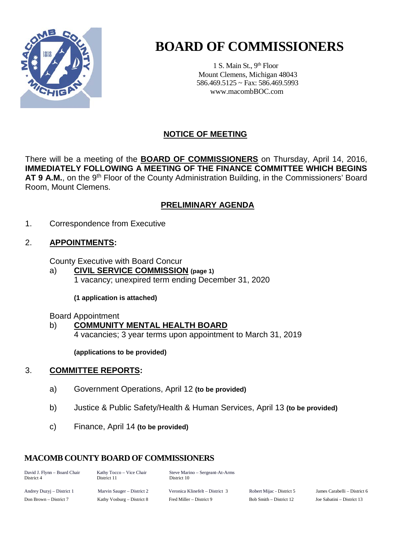

# **BOARD OF COMMISSIONERS**

1 S. Main St., 9<sup>th</sup> Floor Mount Clemens, Michigan 48043 586.469.5125 ~ Fax: 586.469.5993 www.macombBOC.com

### **NOTICE OF MEETING**

There will be a meeting of the **BOARD OF COMMISSIONERS** on Thursday, April 14, 2016, **IMMEDIATELY FOLLOWING A MEETING OF THE FINANCE COMMITTEE WHICH BEGINS** AT 9 A.M., on the 9<sup>th</sup> Floor of the County Administration Building, in the Commissioners' Board Room, Mount Clemens.

#### **PRELIMINARY AGENDA**

1. Correspondence from Executive

#### 2. **APPOINTMENTS:**

County Executive with Board Concur

a) **CIVIL SERVICE COMMISSION (page 1)** 1 vacancy; unexpired term ending December 31, 2020

**(1 application is attached)**

Board Appointment

#### b) **COMMUNITY MENTAL HEALTH BOARD**

4 vacancies; 3 year terms upon appointment to March 31, 2019

**(applications to be provided)**

#### 3. **COMMITTEE REPORTS:**

- a) Government Operations, April 12 **(to be provided)**
- b) Justice & Public Safety/Health & Human Services, April 13 **(to be provided)**
- c) Finance, April 14 **(to be provided)**

### **MACOMB COUNTY BOARD OF COMMISSIONERS**

| David J. Flynn – Board Chair | Kathy Tocco – Vice Chair | Steve Marino – Sergeant-At-Arms |
|------------------------------|--------------------------|---------------------------------|
| District 4                   | District 11              | District 10                     |
|                              |                          |                                 |

Andrey Duzyj – District 1 Marvin Sauger – District 2 Veronica Klinefelt – District 3 Robert Mijac - District 5 James Carabelli – District 6 Don Brown – District 7 Kathy Vosburg – District 8 Fred Miller – District 9 Bob Smith – District 12 Joe Sabatini – District 13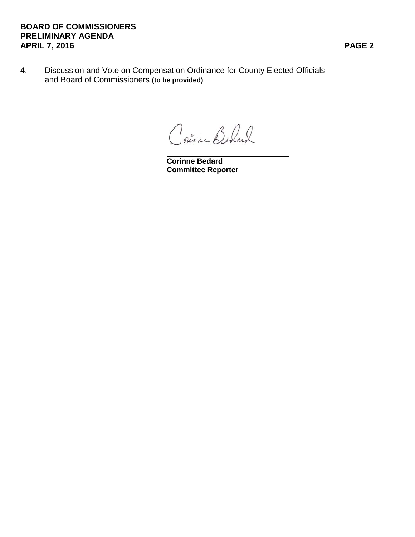#### **BOARD OF COMMISSIONERS PRELIMINARY AGENDA APRIL 7, 2016 PAGE 2**

4. Discussion and Vote on Compensation Ordinance for County Elected Officials and Board of Commissioners **(to be provided)**

Coura Behard

**Corinne Bedard Committee Reporter**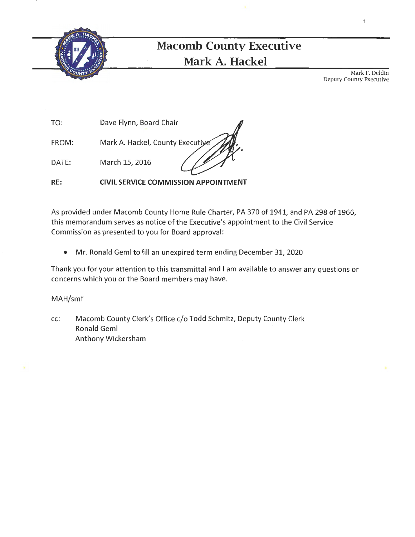

# **Macomb County Executive Mark A. Hackel**

Mark F. Deldin Deputy County Executive

1

TO: Dave Flynn, Board Chair

FROM: Mark A. Hackel, County Executive

DATE: March 15, 2016

**RE: CIVIL SERVICE COMMISSION APPOINTMENT** 

As provided under Macomb County Home Rule Charter, PA 370 of 1941, and PA 298 of 1966, this memorandum serves as notice of the Executive's appointment to the Civil Service Commission as presented to you for Board approval:

• Mr. Ronald Geml to fill an unexpired term ending December 31, 2020

Thank you for your attention to this transmittal and I am available to answer any questions or concerns which you or the Board members may have.

MAH/smf

cc: Macomb County Clerk's Office c/o Todd Schmitz, Deputy County Clerk Ronald Geml Anthony Wickersham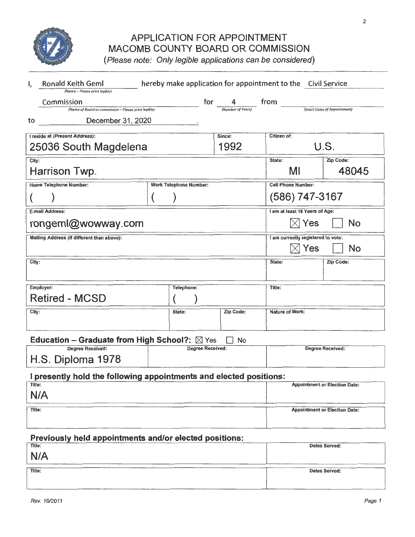

## APPLICATION FOR APPOINTMENT MACOMB COUNTY BOARD OR COMMISSION

(Please note: Only legible applications can be considered)

| I,                                                                 | hereby make application for appointment to the Civil Service<br><b>Ronald Keith Geml</b><br>(Name - Please print legibly) |                               |  |           |                  |                                    |                                      |
|--------------------------------------------------------------------|---------------------------------------------------------------------------------------------------------------------------|-------------------------------|--|-----------|------------------|------------------------------------|--------------------------------------|
|                                                                    | Commission                                                                                                                |                               |  |           |                  |                                    |                                      |
| to                                                                 | (Name of Board or commission - Please print legibly)<br>December 31, 2020                                                 |                               |  |           |                  |                                    | (Exact Dates of Appointment)         |
|                                                                    | I reside at (Present Address):                                                                                            |                               |  | Since:    | Citizen of:      |                                    |                                      |
|                                                                    | 1992<br>25036 South Magdelena                                                                                             |                               |  | U.S.      |                  |                                    |                                      |
| City:                                                              | Harrison Twp.                                                                                                             |                               |  |           | State:           | MI                                 | <b>Zip Code:</b><br>48045            |
|                                                                    | <b>Home Telephone Number:</b>                                                                                             | <b>Work Telephone Number:</b> |  |           |                  | <b>Cell Phone Number:</b>          |                                      |
|                                                                    |                                                                                                                           | (586) 747-3167                |  |           |                  |                                    |                                      |
|                                                                    | <b>E-mail Address:</b>                                                                                                    |                               |  |           |                  | I am at least 18 Years of Age:     |                                      |
|                                                                    | rongeml@wowway.com                                                                                                        |                               |  |           |                  | (∣Yes                              | No                                   |
|                                                                    | Mailing Address (if different than above):                                                                                |                               |  |           |                  | I am currently registered to vote: |                                      |
|                                                                    |                                                                                                                           |                               |  |           |                  | $\boxtimes$ Yes                    | No                                   |
| City:                                                              |                                                                                                                           |                               |  |           | State:           |                                    | Zip Code:                            |
|                                                                    |                                                                                                                           |                               |  |           |                  |                                    |                                      |
| Employer:                                                          |                                                                                                                           | Telephone:                    |  |           | Title:           |                                    |                                      |
|                                                                    | <b>Retired - MCSD</b>                                                                                                     |                               |  |           |                  |                                    |                                      |
| City:                                                              |                                                                                                                           | State:                        |  | Zip Code: |                  | <b>Nature of Work:</b>             |                                      |
|                                                                    |                                                                                                                           |                               |  |           |                  |                                    |                                      |
|                                                                    | Education - Graduate from High School?: $\boxtimes$ Yes                                                                   |                               |  | No        |                  |                                    |                                      |
|                                                                    | Degree Received:                                                                                                          | <b>Degree Received:</b>       |  |           | Degree Received: |                                    |                                      |
|                                                                    | H.S. Diploma 1978                                                                                                         |                               |  |           |                  |                                    |                                      |
| I presently hold the following appointments and elected positions: |                                                                                                                           |                               |  |           |                  |                                    |                                      |
| Title:<br>N/A                                                      |                                                                                                                           |                               |  |           |                  |                                    | <b>Appointment or Election Date:</b> |
| Title;                                                             |                                                                                                                           |                               |  |           |                  |                                    | <b>Appointment or Election Date:</b> |
| Previously held appointments and/or elected positions:             |                                                                                                                           |                               |  |           |                  |                                    |                                      |
| Title:                                                             |                                                                                                                           |                               |  |           |                  |                                    | <b>Dates Served:</b>                 |
| N/A                                                                |                                                                                                                           |                               |  |           |                  |                                    |                                      |

Title:

Dates Served: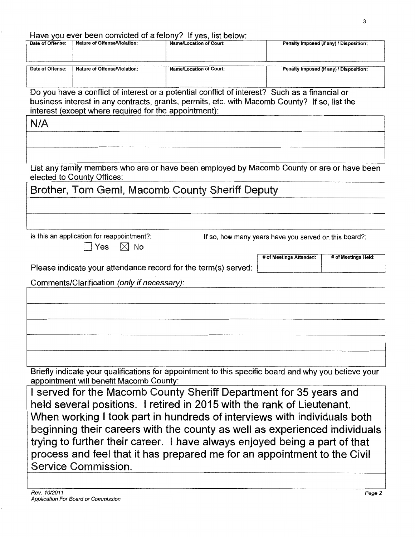#### Have you ever been convicted of a felony? If yes, list below:

| Date of Offense: | Nature of Offense/Violation: | <b>Name/Location of Court:</b>                                                                        | Penalty Imposed (if any) / Disposition: |
|------------------|------------------------------|-------------------------------------------------------------------------------------------------------|-----------------------------------------|
| Date of Offense: | Nature of Offense/Violation: | Name/Location of Court:                                                                               | Penalty Imposed (if any) / Disposition: |
|                  |                              | De concelezione e conflict of interest and material conflict of interest0. Original as a financial an |                                         |

Do you have a conflict of interest or a potential conflict of interest? Such as a financial or business interest in any contracts, grants, permits, etc. with Macomb County? If so, list the interest (except where required for the appointment):

N/A

List any family members who are or have been employed by Macomb County or are or have been elected to County Offices:

Brother, Tom Geml, Macomb County Sheriff Deputy

Is this an application for reappointment?: If so, how many years have you served on this board?:

 $\Box$  Yes  $\Box$  No

Please indicate your attendance record for the term(s) served:

# of Meetings Attended: # of Meetings Held:

Comments/Clarification (only if necessary):

Briefly indicate your qualifications for appointment to this specific board and why you believe your

appointment will benefit Macomb County:

I served for the Macomb County Sheriff Department for 35 years and held several positions. I retired in 2015 with the rank of Lieutenant. When working I took part in hundreds of interviews with individuals both beginning their careers with the county as well as experienced individuals trying to further their career. I have always enjoyed being a part of that process and feel that it has prepared me for an appointment to the Civil Service Commission.